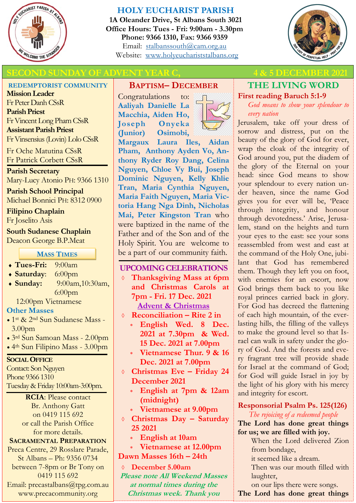

# **HOLY EUCHARIST PARISH**

**1A Oleander Drive, St Albans South 3021 Office Hours: Tues - Fri: 9:00am - 3.30pm Phone: 9366 1310, Fax: 9366 9359** Email: [stalbanssouth@cam.org.au](mailto:stalbanssouth@cam.org.au) Website:[www.holyeuchariststalbans.org](http://www.holyeuchariststalbans.org)



# **SECOND SUNDAY OF ADVENT YEAR C, ALCOREGY 4 & 5 DECEMBER 2021**

#### **REDEMPTORIST COMMUNITY**

**Mission Leader** Fr Peter Danh CSsR **Parish Priest** Fr Vincent Long Pham CSsR **Assistant Parish Priest**  Fr Vinsensius (Lovin) Lolo CSsR

Fr Oche Matutina CSsR Fr Patrick Corbett CSsR

**Parish Secretary** Mary-Lucy Atonio PH: 9366 1310

**Parish School Principal** Michael Bonnici PH: 8312 0900

**Filipino Chaplain** Fr Joselito Asis

**South Sudanese Chaplain** Deacon George B.P.Meat

#### **MASS TIMES**

- **Tues-Fri:** 9:00am
- **Saturday**: 6:00pm
- **Sunday:** 9:00am,10:30am, 6:00pm
	- 12:00pm Vietnamese

#### **Other Masses**

- 1st & 2nd Sun Sudanese Mass 3.00pm
- 3rd Sun Samoan Mass 2.00pm
- 4th Sun Filipino Mass 3.00pm

#### **SOCIAL OFFICE**

Contact: Son Nguyen Phone 9366 1310 Tuesday & Friday 10:00am-3:00pm.

> **RCIA**: Please contact Br. Anthony Gatt on 0419 115 692 or call the Parish Office for more details.

#### **SACRAMENTAL PREPARATION**

Preca Centre, 29 Rosslare Parade, St Albans – Ph: 9356 0734 between 7-8pm or Br Tony on 0419 115 692 Email: precastalbans@tpg.com.au www.precacommunity.org

# **BAPTISM– DECEMBER**

Congratulations to: **Aaliyah Danielle La Macchia, Aiden Ho, Joseph Onyeka (Junior) Osimobi,** 

**Margaux Laura Iles, Aidan Pham, Anthony Ayden Vo, Anthony Ryder Roy Dang, Celina Nguyen, Chloe Vy Bui, Joseph Dominic Nguyen, Kelly Khlie Tran, Maria Cynthia Nguyen, Maria Faith Nguyen, Maria Victoria Hang Nga Dinh, Nicholas Mai, Peter Kingston Tran** who were baptized in the name of the Father and of the Son and of the Holy Spirit. You are welcome to be a part of our community faith.

#### **UPCOMING CELEBRATIONS**

- **Thanksgiving Mass at 6pm and Christmas Carols at 7pm - Fri. 17 Dec. 2021 Advent & Christmas**
- **Reconciliation – Rite 2 in** 
	- **English Wed. 8 Dec. 2021 at 7.30pm & Wed. 15 Dec. 2021 at 7.00pm**
	- **Vietnamese Thur. 9 & 16 Dec. 2021 at 7.00pm**
- **Christmas Eve – Friday 24 December 2021** 
	- **English at 7pm & 12am (midnight)**
	- **Vietnamese at 9.00pm**
- **Christmas Day – Saturday 25 2021**
	- **English at 10am**
- **Vietnamese at 12.00pm**
- **Dawn Masses 16th – 24th**
- **December 5.00am Please note All Weekend Masses at normal times during the Christmas week. Thank you**

# **THE LIVING WORD**

**First reading Baruch 5:1-9** *God means to show your splendour to* 

*every nation*

Jerusalem, take off your dress of sorrow and distress, put on the beauty of the glory of God for ever, wrap the cloak of the integrity of God around you, put the diadem of the glory of the Eternal on your head: since God means to show your splendour to every nation under heaven, since the name God gives you for ever will be, 'Peace through integrity, and honour through devotedness.' Arise, Jerusalem, stand on the heights and turn your eyes to the east: see your sons reassembled from west and east at the command of the Holy One, jubilant that God has remembered them. Though they left you on foot, with enemies for an escort, now God brings them back to you like royal princes carried back in glory. For God has decreed the flattening of each high mountain, of the everlasting hills, the filling of the valleys to make the ground level so that Israel can walk in safety under the glory of God. And the forests and every fragrant tree will provide shade for Israel at the command of God; for God will guide Israel in joy by the light of his glory with his mercy and integrity for escort.

#### **Responsorial Psalm Ps. 125(126)**

*The rejoicing of a redeemed people*

**The Lord has done great things for us; we are filled with joy.**

> When the Lord delivered Zion from bondage,

it seemed like a dream.

Then was our mouth filled with laughter,

on our lips there were songs.

**The Lord has done great things**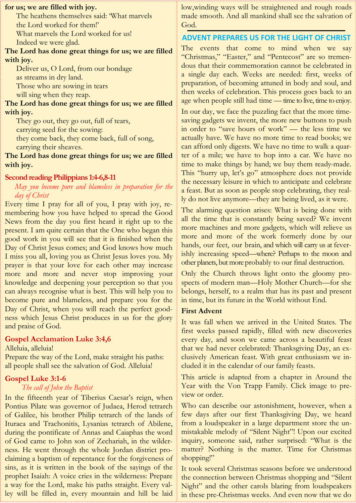#### **for us; we are filled with joy.**

The heathens themselves said: 'What marvels the Lord worked for them!' What marvels the Lord worked for us! Indeed we were glad.

#### **The Lord has done great things for us; we are filled with joy.**

Deliver us, O Lord, from our bondage as streams in dry land. Those who are sowing in tears

will sing when they reap.

**The Lord has done great things for us; we are filled with joy.**

They go out, they go out, full of tears,

carrying seed for the sowing:

they come back, they come back, full of song, carrying their sheaves.

**The Lord has done great things for us; we are filled with joy.**

#### **Second reading Philippians 1:4-6,8-11**

#### *May you become pure and blameless in preparation for the day of Christ*

Every time I pray for all of you, I pray with joy, remembering how you have helped to spread the Good News from the day you first heard it right up to the present. I am quite certain that the One who began this good work in you will see that it is finished when the Day of Christ Jesus comes; and God knows how much I miss you all, loving you as Christ Jesus loves you. My prayer is that your love for each other may increase more and more and never stop improving your knowledge and deepening your perception so that you can always recognise what is best. This will help you to become pure and blameless, and prepare you for the Day of Christ, when you will reach the perfect goodness which Jesus Christ produces in us for the glory and praise of God.

#### **Gospel Acclamation Luke 3:4,6**

Alleluia, alleluia!

Prepare the way of the Lord, make straight his paths: all people shall see the salvation of God. Alleluia!

#### **Gospel Luke 3:1-6**

#### *The call of John the Baptist*

In the fifteenth year of Tiberius Caesar's reign, when Pontius Pilate was governor of Judaea, Herod tetrarch of Galilee, his brother Philip tetrarch of the lands of Ituraea and Trachonitis, Lysanias tetrarch of Abilene, during the pontificate of Annas and Caiaphas the word of God came to John son of Zechariah, in the wilderness. He went through the whole Jordan district proclaiming a baptism of repentance for the forgiveness of sins, as it is written in the book of the sayings of the prophet Isaiah: A voice cries in the wilderness: Prepare a way for the Lord, make his paths straight. Every valley will be filled in, every mountain and hill be laid

low,winding ways will be straightened and rough roads made smooth. And all mankind shall see the salvation of God.

#### **ADVENT PREPARES US FOR THE LIGHT OF CHRIST**

The events that come to mind when we say "Christmas," "Easter," and "Pentecost" are so tremendous that their commemoration cannot be celebrated in a single day each. Weeks are needed: first, weeks of preparation, of becoming attuned in body and soul, and then weeks of celebration. This process goes back to an age when people still had time — time to live, time to enjoy.

In our day, we face the puzzling fact that the more timesaving gadgets we invent, the more new buttons to push in order to "save hours of work" — the less time we actually have. We have no more time to read books; we can afford only digests. We have no time to walk a quarter of a mile; we have to hop into a car. We have no time to make things by hand; we buy them ready-made. This "hurry up, let's go" atmosphere does not provide the necessary leisure in which to anticipate and celebrate a feast. But as soon as people stop celebrating, they really do not live anymore—they are being lived, as it were.

The alarming question arises: What is being done with all the time that is constantly being saved? We invent more machines and more gadgets, which will relieve us more and more of the work formerly done by our hands, our feet, our brain, and which will carry us at feverishly increasing speed—where? Perhaps to the moon and other planets, but more probably to our final destruction.

Only the Church throws light onto the gloomy prospects of modern man—Holy Mother Church—for she belongs, herself, to a realm that has its past and present in time, but its future in the World without End.

#### **First Advent**

It was fall when we arrived in the United States. The first weeks passed rapidly, filled with new discoveries every day, and soon we came across a beautiful feast that we had never celebrated: Thanksgiving Day, an exclusively American feast. With great enthusiasm we included it in the calendar of our family feasts.

This article is adapted from a chapter in Around the Year with the Von Trapp Family. Click image to preview or order.

Who can describe our astonishment, however, when a few days after our first Thanksgiving Day, we heard from a loudspeaker in a large department store the unmistakable melody of "Silent Night"! Upon our excited inquiry, someone said, rather surprised: "What is the matter? Nothing is the matter. Time for Christmas shopping!"

It took several Christmas seasons before we understood the connection between Christmas shopping and "Silent Night" and the other carols blaring from loudspeakers in these pre-Christmas weeks. And even now that we do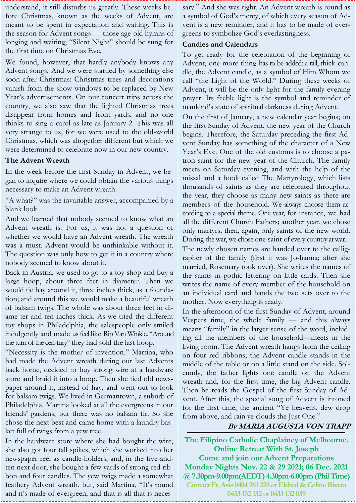understand, it still disturbs us greatly. These weeks before Christmas, known as the weeks of Advent, are meant to be spent in expectation and waiting. This is the season for Advent songs — those age-old hymns of longing and waiting; "Silent Night" should be sung for the first time on Christmas Eve.

We found, however, that hardly anybody knows any Advent songs. And we were startled by something else soon after Christmas: Christmas trees and decorations vanish from the show windows to be replaced by New Year's advertisements. On our concert trips across the country, we also saw that the lighted Christmas trees disappear from homes and front yards, and no one thinks to sing a carol as late as January 2. This was all very strange to us, for we were used to the old-world Christmas, which was altogether different but which we were determined to celebrate now in our new country.

#### **The Advent Wreath**

In the week before the first Sunday in Advent, we began to inquire where we could obtain the various things necessary to make an Advent wreath.

"A what?" was the invariable answer, accompanied by a blank look.

And we learned that nobody seemed to know what an Advent wreath is. For us, it was not a question of whether we would have an Advent wreath. The wreath was a must. Advent would be unthinkable without it. The question was only how to get it in a country where nobody seemed to know about it.

Back in Austria, we used to go to a toy shop and buy a large hoop, about three feet in diameter. Then we would tie hay around it, three inches thick, as a foundation; and around this we would make a beautiful wreath of balsam twigs. The whole was about three feet in diame-ter and ten inches thick. As we tried the different toy shops in Philadelphia, the salespeople only smiled indulgently and made us feel like Rip Van Winkle. "Around the turn of the cen-tury" they had sold the last hoop.

"Necessity is the mother of invention." Martina, who had made the Advent wreath during our last Advents back home, decided to buy strong wire at a hardware store and braid it into a hoop. Then she tied old newspaper around it, instead of hay, and went out to look for balsam twigs. We lived in Germantown, a suburb of Philadelphia. Martina looked at all the evergreens in our friends' gardens, but there was no balsam fir. So she chose the next best and came home with a laundry basket full of twigs from a yew tree.

In the hardware store where she had bought the wire, she also got four tall spikes, which she worked into her newspaper reel as candle-holders, and, in the five-andten next door, she bought a few yards of strong red ribbon and four candles. The yew twigs made a somewhat feathery Advent wreath, but, said Martina, "It's round and it's made of evergreen, and that is all that is necessary." And she was right. An Advent wreath is round as a symbol of God's mercy, of which every season of Advent is a new reminder, and it has to be made of evergreens to symbolize God's everlastingness.

#### **Candles and Calendars**

To get ready for the celebration of the beginning of Advent, one more thing has to be added: a tall, thick candle, the Advent candle, as a symbol of Him Whom we call "the Light of the World." During these weeks of Advent, it will be the only light for the family evening prayer. Its feeble light is the symbol and reminder of mankind's state of spiritual darkness during Advent.

On the first of January, a new calendar year begins; on the first Sunday of Advent, the new year of the Church begins. Therefore, the Saturday preceding the first Advent Sunday has something of the character of a New Year's Eve. One of the old customs is to choose a patron saint for the new year of the Church. The family meets on Saturday evening, and with the help of the missal and a book called The Martyrology, which lists thousands of saints as they are celebrated throughout the year, they choose as many new saints as there are members of the household. We always choose them according to a special theme. One year, for instance, we had all the different Church Fathers; another year, we chose only martyrs; then, again, only saints of the new world. During the war, we chose one saint of every country at war.

The newly chosen names are handed over to the calligrapher of the family (first it was Jo-hanna; after she married, Rosemary took over). She writes the names of the saints in gothic lettering on little cards. Then she writes the name of every member of the household on an individual card and hands the two sets over to the mother. Now everything is ready.

In the afternoon of the first Sunday of Advent, around Vespers time, the whole family — and this always means "family" in the larger sense of the word, including all the members of the household—meets in the living room. The Advent wreath hangs from the ceiling on four red ribbons; the Advent candle stands in the middle of the table or on a little stand on the side. Solemnly, the father lights one candle on the Advent wreath and, for the first time, the big Advent candle. Then he reads the Gospel of the first Sunday of Advent. After this, the special song of Advent is intoned for the first time, the ancient "Ye heavens, dew drop from above, and rain ye clouds the Just One."

# **By MARIA AUGUSTA VON TRAPP**

**The Filipino Catholic Chaplaincy of Melbourne. Online Retreat With St. Joseph Come and join our Advent Preparations Monday Nights Nov. 22 & 29 2021; 06 Dec. 2021 @ 7.30pm-9.00pm(AEDT) 4.30pm-6.00pm (Phil Time) Contact Fr. Asis 0404 261 228 or Eldred & Celine Rivera 0433 132 132 or 0433 132 039**